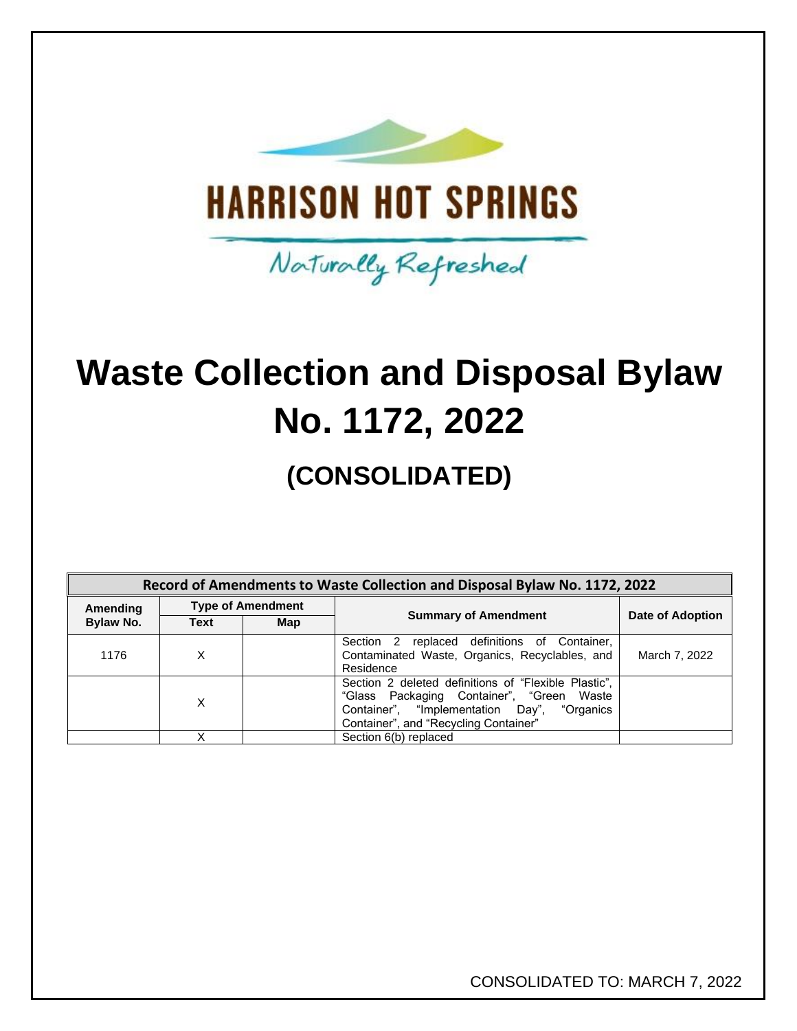

**Waste Collection and Disposal Bylaw No. 1172, 2022**

Naturally Refreshed

# **(CONSOLIDATED)**

| Record of Amendments to Waste Collection and Disposal Bylaw No. 1172, 2022 |                          |     |                                                                                                                                                                                              |                  |  |  |
|----------------------------------------------------------------------------|--------------------------|-----|----------------------------------------------------------------------------------------------------------------------------------------------------------------------------------------------|------------------|--|--|
| Amending                                                                   | <b>Type of Amendment</b> |     |                                                                                                                                                                                              |                  |  |  |
| Bylaw No.                                                                  | <b>Text</b>              | Map | <b>Summary of Amendment</b>                                                                                                                                                                  | Date of Adoption |  |  |
| 1176                                                                       | х                        |     | replaced definitions of Container,<br>Section <sub>2</sub><br>Contaminated Waste, Organics, Recyclables, and<br>Residence                                                                    | March 7, 2022    |  |  |
|                                                                            | X                        |     | Section 2 deleted definitions of "Flexible Plastic",<br>"Glass Packaging Container", "Green Waste<br>Container", "Implementation Day",<br>"Organics<br>Container", and "Recycling Container" |                  |  |  |
|                                                                            |                          |     | Section 6(b) replaced                                                                                                                                                                        |                  |  |  |

CONSOLIDATED TO: MARCH 7, 2022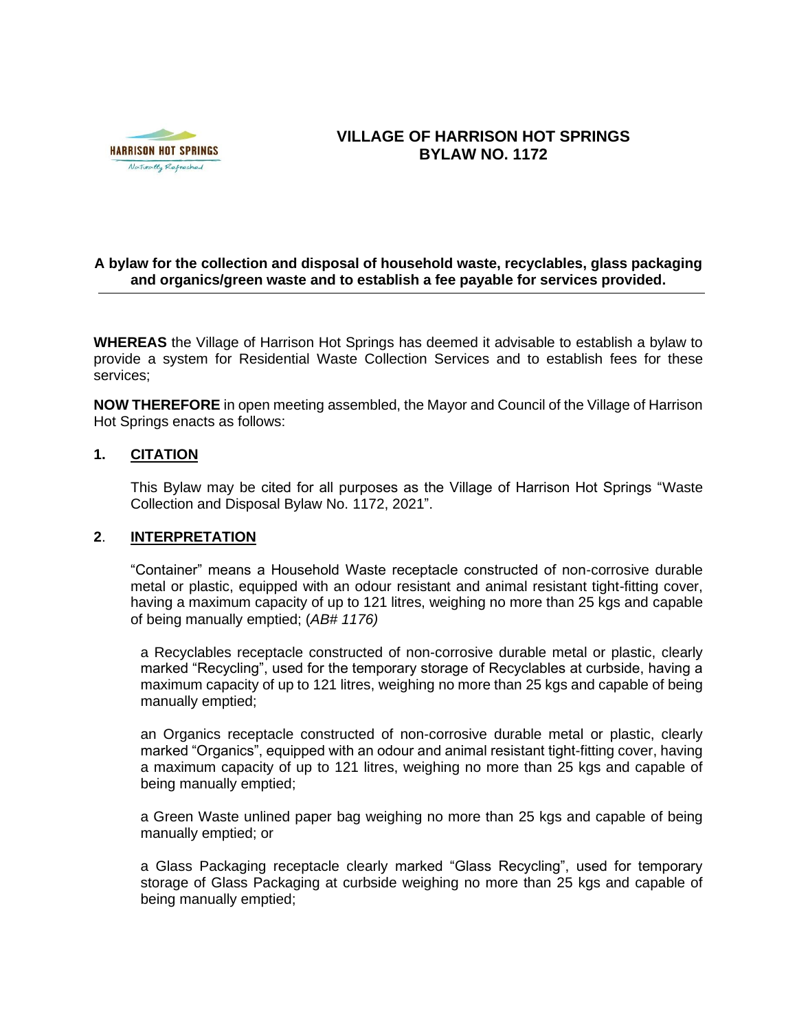

## **VILLAGE OF HARRISON HOT SPRINGS BYLAW NO. 1172**

#### **A bylaw for the collection and disposal of household waste, recyclables, glass packaging and organics/green waste and to establish a fee payable for services provided.**

**WHEREAS** the Village of Harrison Hot Springs has deemed it advisable to establish a bylaw to provide a system for Residential Waste Collection Services and to establish fees for these services;

**NOW THEREFORE** in open meeting assembled, the Mayor and Council of the Village of Harrison Hot Springs enacts as follows:

#### **1. CITATION**

This Bylaw may be cited for all purposes as the Village of Harrison Hot Springs "Waste Collection and Disposal Bylaw No. 1172, 2021".

### **2**. **INTERPRETATION**

"Container" means a Household Waste receptacle constructed of non-corrosive durable metal or plastic, equipped with an odour resistant and animal resistant tight-fitting cover, having a maximum capacity of up to 121 litres, weighing no more than 25 kgs and capable of being manually emptied; (*AB# 1176)*

a Recyclables receptacle constructed of non-corrosive durable metal or plastic, clearly marked "Recycling", used for the temporary storage of Recyclables at curbside, having a maximum capacity of up to 121 litres, weighing no more than 25 kgs and capable of being manually emptied;

an Organics receptacle constructed of non-corrosive durable metal or plastic, clearly marked "Organics", equipped with an odour and animal resistant tight-fitting cover, having a maximum capacity of up to 121 litres, weighing no more than 25 kgs and capable of being manually emptied;

a Green Waste unlined paper bag weighing no more than 25 kgs and capable of being manually emptied; or

a Glass Packaging receptacle clearly marked "Glass Recycling", used for temporary storage of Glass Packaging at curbside weighing no more than 25 kgs and capable of being manually emptied;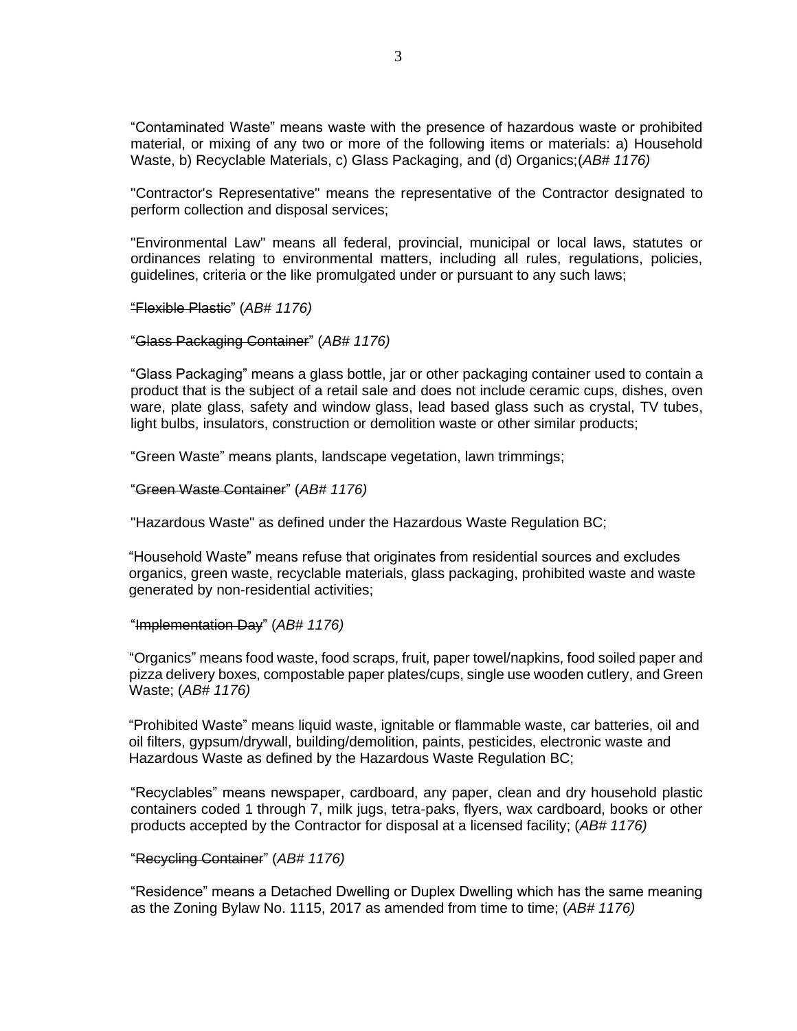"Contaminated Waste" means waste with the presence of hazardous waste or prohibited material, or mixing of any two or more of the following items or materials: a) Household Waste, b) Recyclable Materials, c) Glass Packaging, and (d) Organics;(*AB# 1176)*

"Contractor's Representative" means the representative of the Contractor designated to perform collection and disposal services;

"Environmental Law" means all federal, provincial, municipal or local laws, statutes or ordinances relating to environmental matters, including all rules, regulations, policies, guidelines, criteria or the like promulgated under or pursuant to any such laws;

"Flexible Plastic" (*AB# 1176)*

#### "Glass Packaging Container" (*AB# 1176)*

"Glass Packaging" means a glass bottle, jar or other packaging container used to contain a product that is the subject of a retail sale and does not include ceramic cups, dishes, oven ware, plate glass, safety and window glass, lead based glass such as crystal, TV tubes, light bulbs, insulators, construction or demolition waste or other similar products;

"Green Waste" means plants, landscape vegetation, lawn trimmings;

"Green Waste Container" (*AB# 1176)*

"Hazardous Waste" as defined under the Hazardous Waste Regulation BC;

"Household Waste" means refuse that originates from residential sources and excludes organics, green waste, recyclable materials, glass packaging, prohibited waste and waste generated by non-residential activities;

#### "Implementation Day" (*AB# 1176)*

"Organics" means food waste, food scraps, fruit, paper towel/napkins, food soiled paper and pizza delivery boxes, compostable paper plates/cups, single use wooden cutlery, and Green Waste; (*AB# 1176)*

"Prohibited Waste" means liquid waste, ignitable or flammable waste, car batteries, oil and oil filters, gypsum/drywall, building/demolition, paints, pesticides, electronic waste and Hazardous Waste as defined by the Hazardous Waste Regulation BC;

"Recyclables" means newspaper, cardboard, any paper, clean and dry household plastic containers coded 1 through 7, milk jugs, tetra-paks, flyers, wax cardboard, books or other products accepted by the Contractor for disposal at a licensed facility; (*AB# 1176)*

#### "Recycling Container" (*AB# 1176)*

"Residence" means a Detached Dwelling or Duplex Dwelling which has the same meaning as the Zoning Bylaw No. 1115, 2017 as amended from time to time; (*AB# 1176)*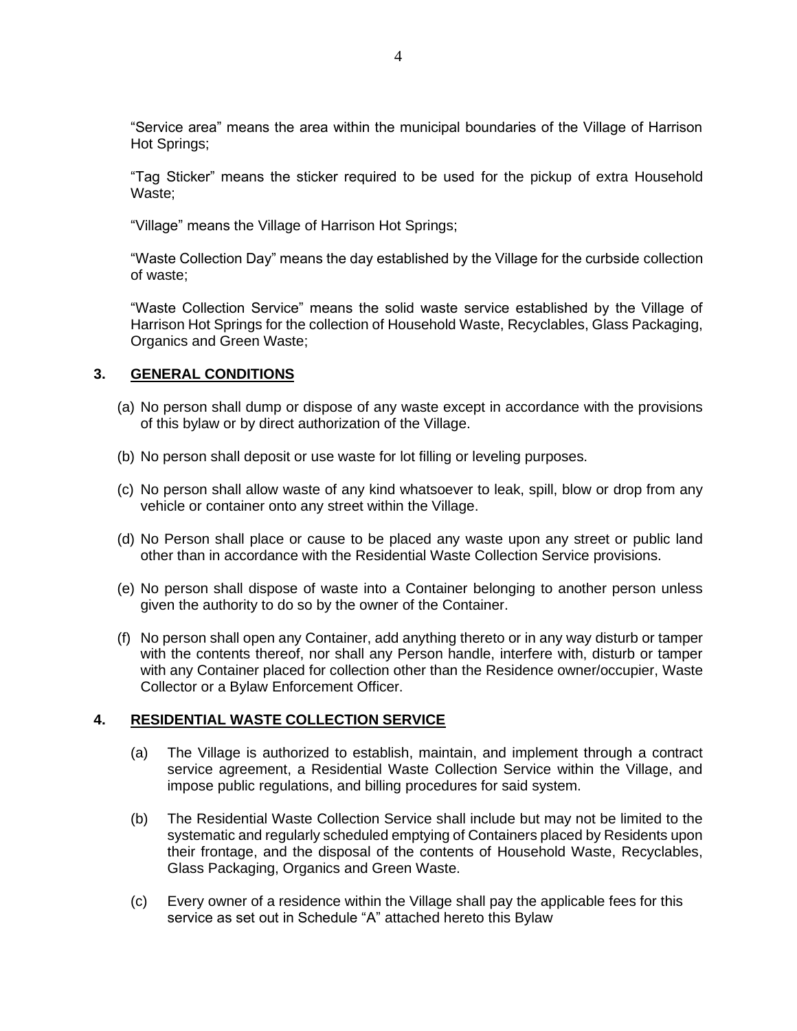"Service area" means the area within the municipal boundaries of the Village of Harrison Hot Springs;

"Tag Sticker" means the sticker required to be used for the pickup of extra Household Waste;

"Village" means the Village of Harrison Hot Springs;

"Waste Collection Day" means the day established by the Village for the curbside collection of waste;

"Waste Collection Service" means the solid waste service established by the Village of Harrison Hot Springs for the collection of Household Waste, Recyclables, Glass Packaging, Organics and Green Waste;

### **3. GENERAL CONDITIONS**

- (a) No person shall dump or dispose of any waste except in accordance with the provisions of this bylaw or by direct authorization of the Village.
- (b) No person shall deposit or use waste for lot filling or leveling purposes.
- (c) No person shall allow waste of any kind whatsoever to leak, spill, blow or drop from any vehicle or container onto any street within the Village.
- (d) No Person shall place or cause to be placed any waste upon any street or public land other than in accordance with the Residential Waste Collection Service provisions.
- (e) No person shall dispose of waste into a Container belonging to another person unless given the authority to do so by the owner of the Container.
- (f) No person shall open any Container, add anything thereto or in any way disturb or tamper with the contents thereof, nor shall any Person handle, interfere with, disturb or tamper with any Container placed for collection other than the Residence owner/occupier, Waste Collector or a Bylaw Enforcement Officer.

#### **4. RESIDENTIAL WASTE COLLECTION SERVICE**

- (a) The Village is authorized to establish, maintain, and implement through a contract service agreement, a Residential Waste Collection Service within the Village, and impose public regulations, and billing procedures for said system.
- (b) The Residential Waste Collection Service shall include but may not be limited to the systematic and regularly scheduled emptying of Containers placed by Residents upon their frontage, and the disposal of the contents of Household Waste, Recyclables, Glass Packaging, Organics and Green Waste.
- (c) Every owner of a residence within the Village shall pay the applicable fees for this service as set out in Schedule "A" attached hereto this Bylaw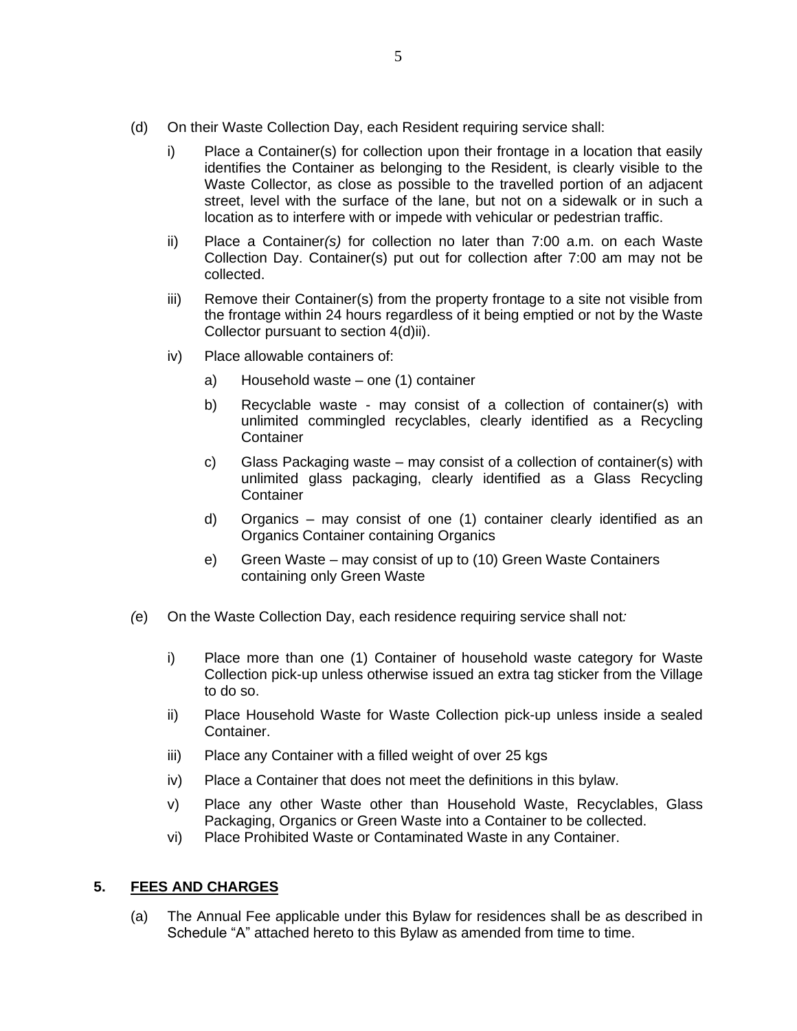- (d) On their Waste Collection Day, each Resident requiring service shall:
	- i) Place a Container(s) for collection upon their frontage in a location that easily identifies the Container as belonging to the Resident, is clearly visible to the Waste Collector, as close as possible to the travelled portion of an adjacent street, level with the surface of the lane, but not on a sidewalk or in such a location as to interfere with or impede with vehicular or pedestrian traffic.
	- ii) Place a Container*(s)* for collection no later than 7:00 a.m. on each Waste Collection Day. Container(s) put out for collection after 7:00 am may not be collected.
	- iii) Remove their Container(s) from the property frontage to a site not visible from the frontage within 24 hours regardless of it being emptied or not by the Waste Collector pursuant to section 4(d)ii).
	- iv) Place allowable containers of:
		- a) Household waste one (1) container
		- b) Recyclable waste may consist of a collection of container(s) with unlimited commingled recyclables, clearly identified as a Recycling **Container**
		- c) Glass Packaging waste may consist of a collection of container(s) with unlimited glass packaging, clearly identified as a Glass Recycling **Container**
		- d) Organics may consist of one (1) container clearly identified as an Organics Container containing Organics
		- e) Green Waste may consist of up to (10) Green Waste Containers containing only Green Waste
- *(*e) On the Waste Collection Day, each residence requiring service shall not*:* 
	- i) Place more than one (1) Container of household waste category for Waste Collection pick-up unless otherwise issued an extra tag sticker from the Village to do so.
	- ii) Place Household Waste for Waste Collection pick-up unless inside a sealed Container.
	- iii) Place any Container with a filled weight of over 25 kgs
	- iv) Place a Container that does not meet the definitions in this bylaw.
	- v) Place any other Waste other than Household Waste, Recyclables, Glass Packaging, Organics or Green Waste into a Container to be collected.
	- vi) Place Prohibited Waste or Contaminated Waste in any Container.

#### **5. FEES AND CHARGES**

(a) The Annual Fee applicable under this Bylaw for residences shall be as described in Schedule "A" attached hereto to this Bylaw as amended from time to time.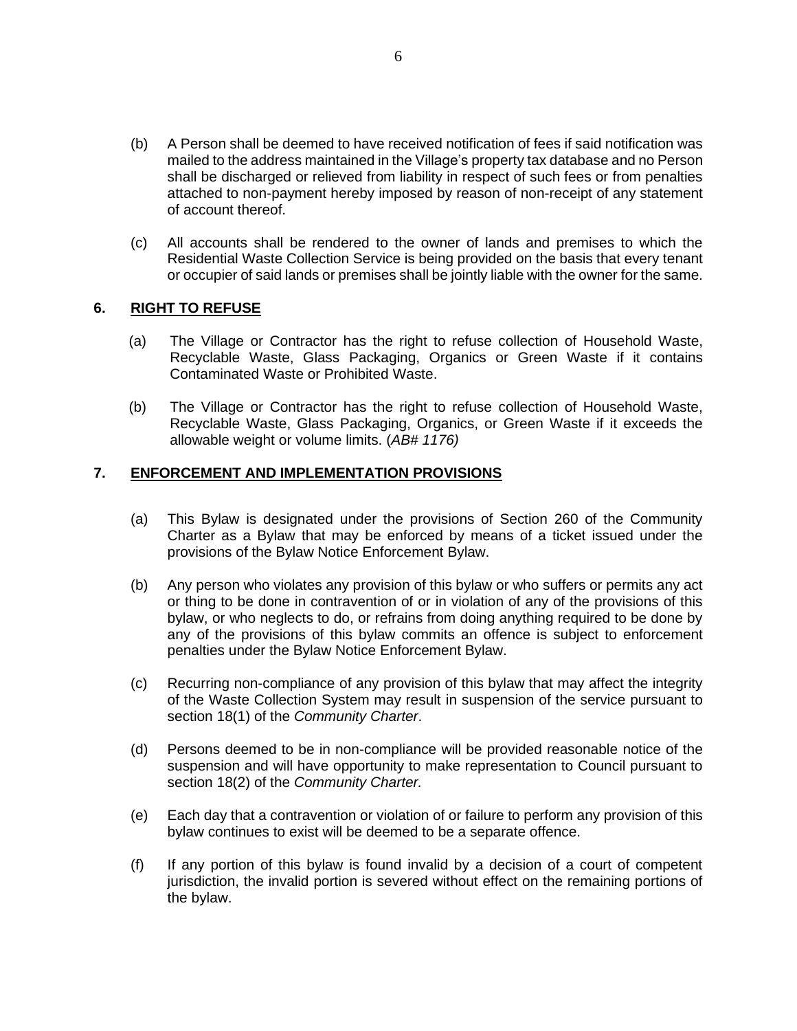- (b) A Person shall be deemed to have received notification of fees if said notification was mailed to the address maintained in the Village's property tax database and no Person shall be discharged or relieved from liability in respect of such fees or from penalties attached to non-payment hereby imposed by reason of non-receipt of any statement of account thereof.
- (c) All accounts shall be rendered to the owner of lands and premises to which the Residential Waste Collection Service is being provided on the basis that every tenant or occupier of said lands or premises shall be jointly liable with the owner for the same.

#### **6. RIGHT TO REFUSE**

- (a) The Village or Contractor has the right to refuse collection of Household Waste, Recyclable Waste, Glass Packaging, Organics or Green Waste if it contains Contaminated Waste or Prohibited Waste.
- (b) The Village or Contractor has the right to refuse collection of Household Waste, Recyclable Waste, Glass Packaging, Organics, or Green Waste if it exceeds the allowable weight or volume limits. (*AB# 1176)*

#### **7. ENFORCEMENT AND IMPLEMENTATION PROVISIONS**

- (a) This Bylaw is designated under the provisions of Section 260 of the Community Charter as a Bylaw that may be enforced by means of a ticket issued under the provisions of the Bylaw Notice Enforcement Bylaw.
- (b) Any person who violates any provision of this bylaw or who suffers or permits any act or thing to be done in contravention of or in violation of any of the provisions of this bylaw, or who neglects to do, or refrains from doing anything required to be done by any of the provisions of this bylaw commits an offence is subject to enforcement penalties under the Bylaw Notice Enforcement Bylaw.
- (c) Recurring non-compliance of any provision of this bylaw that may affect the integrity of the Waste Collection System may result in suspension of the service pursuant to section 18(1) of the *Community Charter*.
- (d) Persons deemed to be in non-compliance will be provided reasonable notice of the suspension and will have opportunity to make representation to Council pursuant to section 18(2) of the *Community Charter.*
- (e) Each day that a contravention or violation of or failure to perform any provision of this bylaw continues to exist will be deemed to be a separate offence.
- (f) If any portion of this bylaw is found invalid by a decision of a court of competent jurisdiction, the invalid portion is severed without effect on the remaining portions of the bylaw.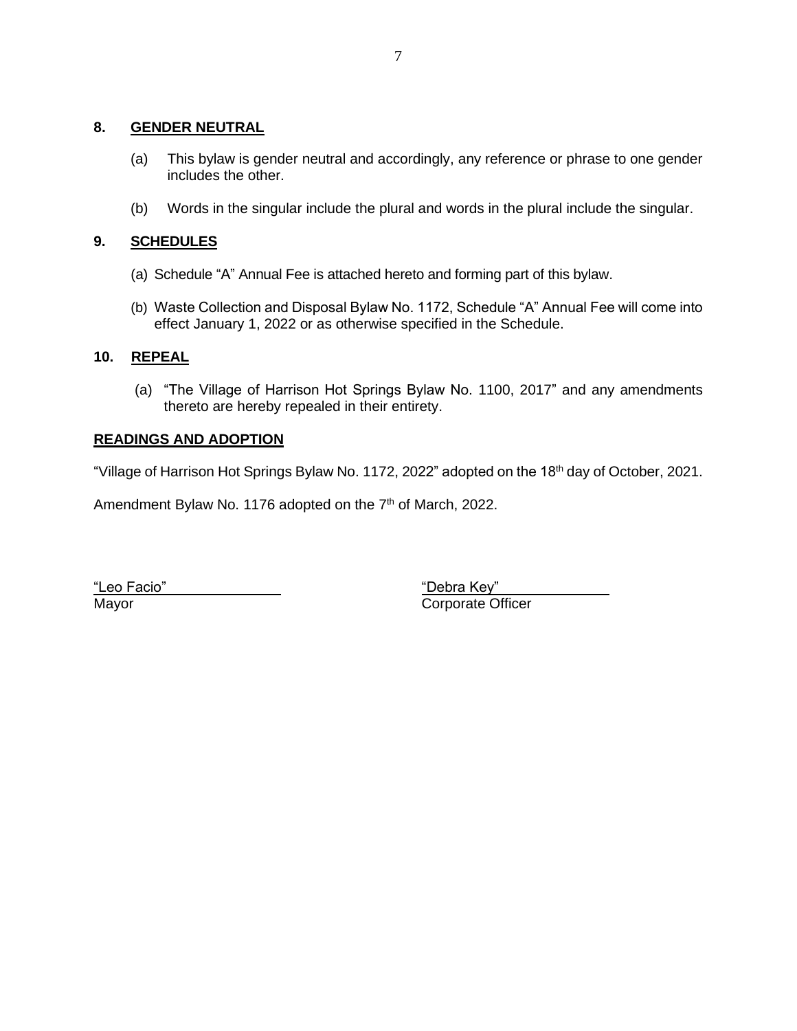#### **8. GENDER NEUTRAL**

- (a) This bylaw is gender neutral and accordingly, any reference or phrase to one gender includes the other.
- (b) Words in the singular include the plural and words in the plural include the singular.

## **9. SCHEDULES**

- (a) Schedule "A" Annual Fee is attached hereto and forming part of this bylaw.
- (b) Waste Collection and Disposal Bylaw No. 1172, Schedule "A" Annual Fee will come into effect January 1, 2022 or as otherwise specified in the Schedule.

### **10. REPEAL**

(a) "The Village of Harrison Hot Springs Bylaw No. 1100, 2017" and any amendments thereto are hereby repealed in their entirety.

### **READINGS AND ADOPTION**

"Village of Harrison Hot Springs Bylaw No. 1172, 2022" adopted on the 18<sup>th</sup> day of October, 2021.

Amendment Bylaw No. 1176 adopted on the 7<sup>th</sup> of March, 2022.

"Leo Facio" "Debra Key"

Mayor **Corporate Officer**